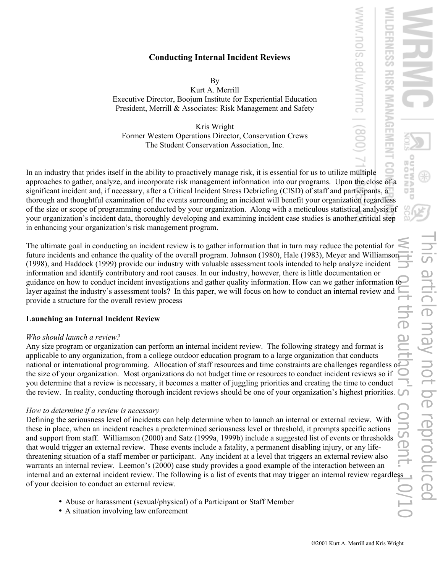edu/wrmc

## **Conducting Internal Incident Reviews**

By

Kurt A. Merrill Executive Director, Boojum Institute for Experiential Education President, Merrill & Associates: Risk Management and Safety

Kris Wright Former Western Operations Director, Conservation Crews The Student Conservation Association, Inc.

In an industry that prides itself in the ability to proactively manage risk, it is essential for us to utilize multiple approaches to gather, analyze, and incorporate risk management information into our programs. Upon the close of a significant incident and, if necessary, after a Critical Incident Stress Debriefing (CISD) of staff and participants, a thorough and thoughtful examination of the events surrounding an incident will benefit your organization regardless of the size or scope of programming conducted by your organization. Along with a meticulous statistical analysis of your organization's incident data, thoroughly developing and examining incident case studies is another critical step in enhancing your organization's risk management program.

The ultimate goal in conducting an incident review is to gather information that in turn may reduce the potential for future incidents and enhance the quality of the overall program. Johnson (1980), Hale (1983), Meyer and Williamson (1998), and Haddock (1999) provide our industry with valuable assessment tools intended to help analyze incident information and identify contributory and root causes. In our industry, however, there is little documentation or guidance on how to conduct incident investigations and gather quality information. How can we gather information to layer against the industry's assessment tools? In this paper, we will focus on how to conduct an internal review and provide a structure for the overall review process

### **Launching an Internal Incident Review**

### *Who should launch a review?*

Any size program or organization can perform an internal incident review. The following strategy and format is applicable to any organization, from a college outdoor education program to a large organization that conducts national or international programming. Allocation of staff resources and time constraints are challenges regardless of the size of your organization. Most organizations do not budget time or resources to conduct incident reviews so if you determine that a review is necessary, it becomes a matter of juggling priorities and creating the time to conduct the review. In reality, conducting thorough incident reviews should be one of your organization's highest priorities.

### *How to determine if a review is necessary*

Defining the seriousness level of incidents can help determine when to launch an internal or external review. With these in place, when an incident reaches a predetermined seriousness level or threshold, it prompts specific actions and support from staff. Williamson (2000) and Satz (1999a, 1999b) include a suggested list of events or thresholds that would trigger an external review. These events include a fatality, a permanent disabling injury, or any lifethreatening situation of a staff member or participant. Any incident at a level that triggers an external review also warrants an internal review. Leemon's (2000) case study provides a good example of the interaction between an internal and an external incident review. The following is a list of events that may trigger an internal review regardless of your decision to conduct an external review.

- Abuse or harassment (sexual/physical) of a Participant or Staff Member
- A situation involving law enforcement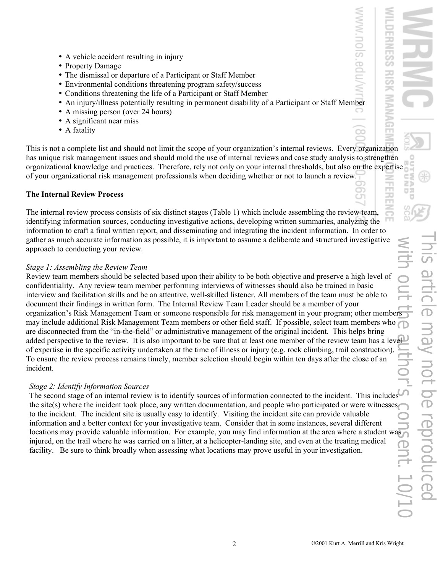- A vehicle accident resulting in injury
- Property Damage
- The dismissal or departure of a Participant or Staff Member
- Environmental conditions threatening program safety/success
- Conditions threatening the life of a Participant or Staff Member
- An injury/illness potentially resulting in permanent disability of a Participant or Staff Member
- A missing person (over 24 hours)
- A significant near miss
- A fatality

This is not a complete list and should not limit the scope of your organization's internal reviews. Every organization has unique risk management issues and should mold the use of internal reviews and case study analysis to strengthen organizational knowledge and practices. Therefore, rely not only on your internal thresholds, but also on the expertise of your organizational risk management professionals when deciding whether or not to launch a review.

# **The Internal Review Process**

The internal review process consists of six distinct stages (Table 1) which include assembling the review team, identifying information sources, conducting investigative actions, developing written summaries, analyzing the information to craft a final written report, and disseminating and integrating the incident information. In order to gather as much accurate information as possible, it is important to assume a deliberate and structured investigative approach to conducting your review.

# *Stage 1: Assembling the Review Team*

Review team members should be selected based upon their ability to be both objective and preserve a high level of confidentiality. Any review team member performing interviews of witnesses should also be trained in basic interview and facilitation skills and be an attentive, well-skilled listener. All members of the team must be able to document their findings in written form. The Internal Review Team Leader should be a member of your organization's Risk Management Team or someone responsible for risk management in your program; other members may include additional Risk Management Team members or other field staff. If possible, select team members who are disconnected from the "in-the-field" or administrative management of the original incident. This helps bring added perspective to the review. It is also important to be sure that at least one member of the review team has a level of expertise in the specific activity undertaken at the time of illness or injury (e.g. rock climbing, trail construction). To ensure the review process remains timely, member selection should begin within ten days after the close of an incident.

# *Stage 2: Identify Information Sources*

The second stage of an internal review is to identify sources of information connected to the incident. This includes the site(s) where the incident took place, any written documentation, and people who participated or were witnesses to the incident. The incident site is usually easy to identify. Visiting the incident site can provide valuable information and a better context for your investigative team. Consider that in some instances, several different locations may provide valuable information. For example, you may find information at the area where a student was injured, on the trail where he was carried on a litter, at a helicopter-landing site, and even at the treating medical facility. Be sure to think broadly when assessing what locations may prove useful in your investigation.

ō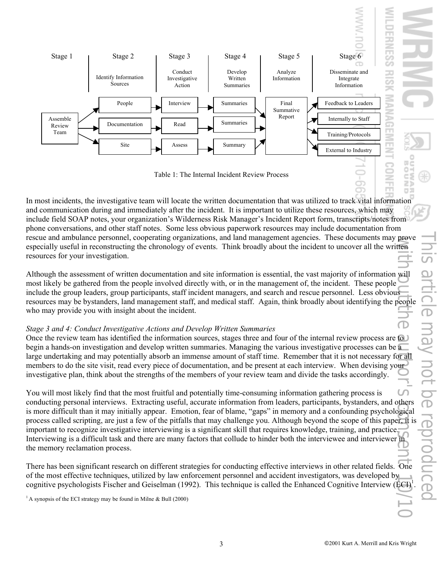

Table 1: The Internal Incident Review Process

In most incidents, the investigative team will locate the written documentation that was utilized to track vital information and communication during and immediately after the incident. It is important to utilize these resources, which may include field SOAP notes, your organization's Wilderness Risk Manager's Incident Report form, transcripts/notes from phone conversations, and other staff notes. Some less obvious paperwork resources may include documentation from rescue and ambulance personnel, cooperating organizations, and land management agencies. These documents may prove especially useful in reconstructing the chronology of events. Think broadly about the incident to uncover all the written resources for your investigation.

Although the assessment of written documentation and site information is essential, the vast majority of information will most likely be gathered from the people involved directly with, or in the management of, the incident. These people include the group leaders, group participants, staff incident managers, and search and rescue personnel. Less obvious resources may be bystanders, land management staff, and medical staff. Again, think broadly about identifying the people who may provide you with insight about the incident.

# *Stage 3 and 4: Conduct Investigative Actions and Develop Written Summaries*

Once the review team has identified the information sources, stages three and four of the internal review process are  $\omega$ begin a hands-on investigation and develop written summaries. Managing the various investigative processes can be a large undertaking and may potentially absorb an immense amount of staff time. Remember that it is not necessary for all members to do the site visit, read every piece of documentation, and be present at each interview. When devising your investigative plan, think about the strengths of the members of your review team and divide the tasks accordingly.

You will most likely find that the most fruitful and potentially time-consuming information gathering process is conducting personal interviews. Extracting useful, accurate information from leaders, participants, bystanders, and others is more difficult than it may initially appear. Emotion, fear of blame, "gaps" in memory and a confounding psychological process called scripting, are just a few of the pitfalls that may challenge you. Although beyond the scope of this paper, it is important to recognize investigative interviewing is a significant skill that requires knowledge, training, and practice. Interviewing is a difficult task and there are many factors that collude to hinder both the interviewee and interviewer in the memory reclamation process. with  $\frac{1}{2}$  authorise authorise authorise authorise authorise authorise authorise authorise authorise authorise authorise authorise authorise authorise authorise authorise authorise authorise authorise authorise authori

There has been significant research on different strategies for conducting effective interviews in other related fields. One of the most effective techniques, utilized by law enforcement personnel and accident investigators, was developed by cognitive psychologists Fischer and Geiselman (1992). This technique is called the Enhanced Cognitive Interview (ECI)<sup>1</sup>

<sup>1</sup> A synopsis of the ECI strategy may be found in Milne  $\&$  Bull (2000)

œ

z  $\Box$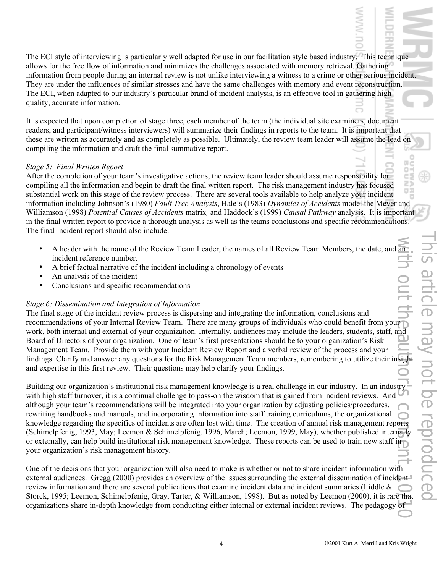The ECI style of interviewing is particularly well adapted for use in our facilitation style based industry. This technique allows for the free flow of information and minimizes the challenges associated with memory retrieval. Gathering information from people during an internal review is not unlike interviewing a witness to a crime or other serious incident. They are under the influences of similar stresses and have the same challenges with memory and event reconstruction. The ECI, when adapted to our industry's particular brand of incident analysis, is an effective tool in gathering high quality, accurate information.

It is expected that upon completion of stage three, each member of the team (the individual site examiners, document readers, and participant/witness interviewers) will summarize their findings in reports to the team. It is important that these are written as accurately and as completely as possible. Ultimately, the review team leader will assume the lead on compiling the information and draft the final summative report.

### *Stage 5: Final Written Report*

After the completion of your team's investigative actions, the review team leader should assume responsibility for compiling all the information and begin to draft the final written report. The risk management industry has focused substantial work on this stage of the review process. There are several tools available to help analyze your incident information including Johnson's (1980) *Fault Tree Analysis*, Hale's (1983) *Dynamics of Accidents* model the Meyer and Williamson (1998) *Potential Causes of Accidents* matrix*,* and Haddock's (1999) *Causal Pathway* analysis. It is important in the final written report to provide a thorough analysis as well as the teams conclusions and specific recommendations. The final incident report should also include:

- A header with the name of the Review Team Leader, the names of all Review Team Members, the date, and an incident reference number.
- A brief factual narrative of the incident including a chronology of events
- An analysis of the incident
- Conclusions and specific recommendations

## *Stage 6: Dissemination and Integration of Information*

The final stage of the incident review process is dispersing and integrating the information, conclusions and recommendations of your Internal Review Team. There are many groups of individuals who could benefit from your work, both internal and external of your organization. Internally, audiences may include the leaders, students, staff, and Board of Directors of your organization. One of team's first presentations should be to your organization's Risk Management Team. Provide them with your Incident Review Report and a verbal review of the process and your findings. Clarify and answer any questions for the Risk Management Team members, remembering to utilize their insight and expertise in this first review. Their questions may help clarify your findings.

Building our organization's institutional risk management knowledge is a real challenge in our industry. In an industry with high staff turnover, it is a continual challenge to pass-on the wisdom that is gained from incident reviews. And although your team's recommendations will be integrated into your organization by adjusting policies/procedures, rewriting handbooks and manuals, and incorporating information into staff training curriculums, the organizational knowledge regarding the specifics of incidents are often lost with time. The creation of annual risk management reports (Schimelpfenig, 1993, May; Leemon & Schimelpfenig, 1996, March; Leemon, 1999, May), whether published internally or externally, can help build institutional risk management knowledge. These reports can be used to train new staff in your organization's risk management history. With  $\sum_{i=1}^{n}$  or  $\sum_{i=1}^{n}$  or  $\sum_{i=1}^{n}$  or  $\sum_{i=1}^{n}$  or  $\sum_{i=1}^{n}$  or  $\sum_{i=1}^{n}$  or  $\sum_{i=1}^{n}$ 

One of the decisions that your organization will also need to make is whether or not to share incident information with external audiences. Gregg (2000) provides an overview of the issues surrounding the external dissemination of incident review information and there are several publications that examine incident data and incident summaries (Liddle & Storck, 1995; Leemon, Schimelpfenig, Gray, Tarter, & Williamson, 1998). But as noted by Leemon (2000), it is rare that organizations share in-depth knowledge from conducting either internal or external incident reviews. The pedagogy of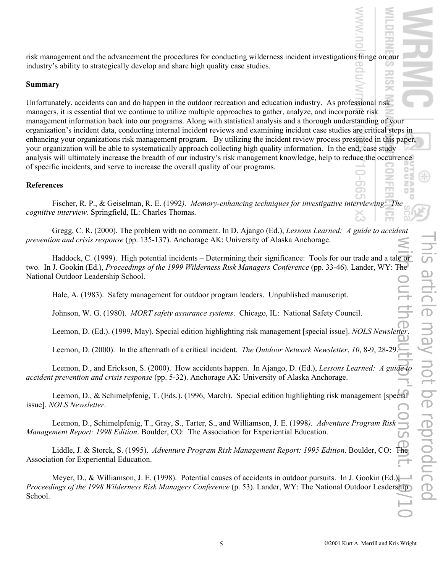risk management and the advancement the procedures for conducting wilderness incident investigations hinge on our industry's ability to strategically develop and share high quality case studies.

### **Summary**

Unfortunately, accidents can and do happen in the outdoor recreation and education industry. As professional risk managers, it is essential that we continue to utilize multiple approaches to gather, analyze, and incorporate risk management information back into our programs. Along with statistical analysis and a thorough understanding of your organization's incident data, conducting internal incident reviews and examining incident case studies are critical steps in enhancing your organizations risk management program. By utilizing the incident review process presented in this paper, your organization will be able to systematically approach collecting high quality information. In the end, case study analysis will ultimately increase the breadth of our industry's risk management knowledge, help to reduce the occurrence of specific incidents, and serve to increase the overall quality of our programs.

## **References**

Fischer, R. P., & Geiselman, R. E. (1992*). Memory-enhancing techniques for investigative interviewing: The cognitive interview*. Springfield, IL: Charles Thomas.

Gregg, C. R. (2000). The problem with no comment. In D. Ajango (Ed.), *Lessons Learned: A guide to accident prevention and crisis response* (pp. 135-137). Anchorage AK: University of Alaska Anchorage.

Haddock, C. (1999). High potential incidents – Determining their significance: Tools for our trade and a tale or two. In J. Gookin (Ed.), *Proceedings of the 1999 Wilderness Risk Managers Conference* (pp. 33-46). Lander, WY: The National Outdoor Leadership School.

Hale, A. (1983). Safety management for outdoor program leaders. Unpublished manuscript.

Johnson, W. G. (1980). *MORT safety assurance systems*. Chicago, IL: National Safety Council.

Leemon, D. (Ed.). (1999, May). Special edition highlighting risk management [special issue]. *NOLS Newsletter*.

Leemon, D. (2000). In the aftermath of a critical incident. *The Outdoor Network Newsletter*, *10*, 8-9, 28-29.

Leemon, D., and Erickson, S. (2000). How accidents happen. In Ajango, D. (Ed.), *Lessons Learned: A guide to accident prevention and crisis response* (pp. 5-32). Anchorage AK: University of Alaska Anchorage.

Leemon, D., & Schimelpfenig, T. (Eds.). (1996, March). Special edition highlighting risk management [special issue]. *NOLS Newsletter*.

Leemon, D., Schimelpfenig, T., Gray, S., Tarter, S., and Williamson, J. E. (1998*). Adventure Program Risk Management Report: 1998 Edition*. Boulder, CO: The Association for Experiential Education.

Liddle, J. & Storck, S. (1995). *Adventure Program Risk Management Report: 1995 Edition*. Boulder, CO: The Association for Experiential Education.

Meyer, D., & Williamson, J. E. (1998). Potential causes of accidents in outdoor pursuits.In J. Gookin (Ed.), *Proceedings of the 1998 Wilderness Risk Managers Conference* (p. 53). Lander, WY: The National Outdoor Leadership School.

co